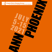## **Angela Davis Gastprofessur**<br>für internationale Gender und Diversity Studies

l: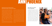# ANN PHOENIX

#### Angela Davis Guest Professorship in International Gender and Diversity Studies

In 2013, the Cornelia Goethe Center for Women's Studies and the Study of Gender (CGC) established the Angela Davis Guest Professorship in International Gender and Diversity Studies. The Guest Professorship serves to promote international and interdisciplinary collaboration in the fields of Gender and Diversity Studies.

The inauguration by its namesake, activist, public intellectual, and scholar Prof. Angela Davis, attracted considerable public attention both nationally and internationally. Following professors Chandra Talpade Mohanty (2015) and Amina Mama (2018), this year's Angela Davis Guest Professorship will be held by Ann Phoenix.

Ann Phoenix is Professor of Psychosocial Studies at the Institute of Education, University College London (UCL). After studying philosophy,

economics and psychology, she obtained her PhD in 1991 with a study on mothers under the age of 20. This was followed by a stint as Senior Lecturer in Psychology at the Open University and as Co-Director of the Thomas Coram Research Unit at the University of London, until she was appointed Professor of Psychosocial Studies at the Institute of Education, University College London. In 2014, Ann Phoenix was honored with membership in the British Academy and the Academy of Social Sciences in recognition of her outstanding scholarly achievements. She has been and continues to be an internationally sought-after visiting professor. With her passion and commitment to critical, empirical, and intersectional research and teaching, Ann Phoenix has inspired scholars and students worldwide.

## When Black Lives Matter All Lives Will Matter

In September 2020, Ann Phoenix published a blog together with graduates from UCL, under the headline "When Black Lives Matter All Lives Will Matter". The authors make the case for engaging in difficult conversations, taking a stand against systemic racism, acknowledging the diversity of racisms, and reflecting on what decolonization means not only for education but also for the state and society in general. They emphasize that conversations in which Black voices are given space can bridge social divides. But this, they say, requires effort and courage. To bring about lasting change, universities would have to change fundamentally: in terms of students, employees, and curricula. In short, in terms of the entire organization.

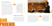#### Intersectionality Research

Ann Phoenix is one of the most internationally prominent scholars in the field of intersectionality studies. The connection between subjectivity and social structures is as central to her work as the intersection of race, gender and class as dimensions of inequality. She expands this intersection case-by-case to include further categories relevant to the particular context of inequality. In numerous international research projects and a vast array of publications, Ann Phoenix deals with the topics of motherhood and family, school and racism, childhood and youth, poverty and migration. The connection between intersectionality and Black feminism is a common thread running through her work.



*For me it's not possible to think about Black feminism without thinking about intersectionality. Black feminism was an inclusionary project. It was quietly saying, look, we, in our multiplicities are here as well. But it was also saying - this is a mode of thinking, this is a way of understanding the social world.*

#### Childhood, poverty, migration

How children cope with challenging family relationships, poverty or relationships shaped by migration is one of the central research questions for Ann Phoenix. For example, she studies children's 'language brokering' – translation services by children that are associated with



shifts in power positions and generational relations both within and outside the family. Another focus of her work is gender socialisation, which she believes can only be understood intersectionally. Children learn from an early age that gender differences between Black men and women are different from those between white men and women. Experiences of racism shape and permeate gender differences.

*We are all always multiply located, and the different categories to which we belong decentre each other, but always operate together, so that nobody is ever one gender position, one racialised position and so on.*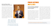### School and Racism, Black Masculinities, Black Femininities

School and school education function as social place-makers, which is another reason why intersectional studies of everyday school life and its experience are central. Ann Phoenix's research on Black masculinities shows that Black boys struggle with interaction cultures and a recognisable student habitus negatively impacting their school performance. Black girls, on the other hand, perform better in school, but are often devalued by (white) teachers because their performance of femininity is measured against norms associated with whiteness. Education, according to Ann Phoenix, is structured by complex relations of inequality that differently distribute possibilities and ideas of who we can become.



# PUBLIC LECTURES JULY 8, 2021

The ties that divide us: Rethinking psychosocial positioning as local, national and global?

Much feminist scholarship over the last 60 years has pointed to the ways in which family members are bound together in unequal relations of power. Particular family forms are sanctioned by state policies in ways that make them structures of economic and socioemotional support for many. In the social sciences, social ties are often considered central to social activism, recruitment to social movements and even social cohesion. However, the complexity and contradictory nature of social ties has often been left unattended.

This inaugural lecture explores the ways in

which social ties are necessarily intersectional. Those tied are necessarily positioned in multiple social categories, locations, temporalities, processes, and structures. Multiple positionings make for contradictions in power relations and imbue ties with differences and divisions that are local, national, global, and located in histories. The lecture draws on contemporary events such as the COVID-19 pandemic, Black Lives Matter, and women's rights to safety. It argues that ties simultaneously divide and bind and that, as feminist scholarship has long shown, the personal is not individual. Far from being reason for pessimism, the lecture concludes that recognition of divisions provides productive space to rethink psychosocial and intersectional divisions and ties in hopeful ways.

More information can be found on the website of the event [https://www.cgc.](https://www.cgc.uni-frankfurt.de/en/244255/angela-davis-guest-professorship-inaugural-lecture/) [uni-frankfurt.de/en/244255/angela-davis-guest-professorship-inaugural-lecture/](https://www.cgc.uni-frankfurt.de/en/244255/angela-davis-guest-professorship-inaugural-lecture/)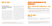# JULY 15, 2021

## The indispensability of Intersectionality: Living through unexpected transformational conjunctions

The 2020s constitute a period of global turmoil in which attempts to ,build back better' will have to start from the recognition that it marked a period of unexpected transformational conjunctions. Movements to redress social inequities gained unprecedented recognition because of COVID-19; the murder of George Floyd in the USA and climate change activism all forced inequalities into popular consciousness and enabled different accounts to be heard in mainstream media. These three issues were not unitary, but signifiers of complex, polyvalent issues that must be understood intersectionally. It is not surprising that already burgeoning theorisations of intersectionality were both taken up and disputed.

This lecture argues for the indispensability of intersectionality to understanding these issues and that these transformational conjunctions also help to move on theorisations and applications of intersectionality. It theorises the big picture that characterises inequalities in 2021 and the complexity of gendered inequalities in that picture. It punctuates that big picture with research examples from a range of research studies including transitions to motherhood for Muslim, white and black mothers environment in the lives of families, and boys and masculinities. The lecture will argue that such everyday examples are central to understanding the big picture of the polyvalence of gendered, racialised, ethnicised relations.

# EVENTS FOR MEMBERS OF THE UNIVERSITY

## JULY 5 – JULY 15, 2021, 4 Units, 9 am – 1 pm

#### Seminar:

Thinking through Intersectionality: Situated multiplicity in process

You can find more information on the dates, content and registration for the event on the website in the electronic course catalogue [https://www.cgc.uni-frankfurt.de/247081/](https://www.cgc.uni-frankfurt.de/247081/angela-davis-gastprofessur-seminar-mit-ann-phoenix/) [angela-davis-gastprofessur-seminar-mit-ann-phoenix/](https://www.cgc.uni-frankfurt.de/247081/angela-davis-gastprofessur-seminar-mit-ann-phoenix/)

## Fireside Chat JULY 13, 2021

The informal setting of the fireside chat is intended to provide a special space for personal and open questions about research areas,

career decisions, successes and failures and strategies for overcoming them, as well as social relationships and networks.

#### More information can be found on the website of the event

<https://www.cgc.uni-frankfurt.de/en/244290/angela-davis-guest-professorship-lecture/>

More information regarding registration and format can be found on the website of the event [https://www.cgc.uni-frankfurt.de/en/244309/angela-davis-guest-professorship](https://www.cgc.uni-frankfurt.de/en/244309/angela-davis-guest-professorship fireside-chat-with-ann-phoenix-on-13-07-2021/) [fireside-chat-with-ann-phoenix-on-13-07-2021/](https://www.cgc.uni-frankfurt.de/en/244309/angela-davis-guest-professorship fireside-chat-with-ann-phoenix-on-13-07-2021/)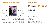## THE CORNELIA GOETHE CENTER

## SUPPORTED BY





The Cornelia Goethe Center for Women's and Gender Studies (CGC) is an interdisciplinary and internationally oriented academic center for women's and gender studies at Goethe University Frankfurt am Main, currently involving nearly 40 professors and numerous staff

members from ten departments. The center was founded in 1997 and named in 2000 after Cornelia Goethe, the gifted sister of the Frankfurt University's namesake.

Today, it is one of the largest and most established gender research centers in Germany. The center's research focuses on care and migration, transnationalisation and social movements, gender justice and diversity, social inequalities as well as biopolitics, body and gender.



With its international conferences, workshops and subject-specific events, the center provides space for scientific exchange as well as international cooperation and networking. With event formats such as the interdisciplinary Cornelia Goethe Colloquia, a lecture series on changing topics.

#### and the Angela Davis Visiting Professorship, the center reaches a broad public. The center's participation in the Goethe University's Citizens' University and the work of the center's Circle of Sponsors are also crucial to its public impact.

The Center offers an interdisciplinary bachelor's minor in Gender Studies and a master's level certificate program in Gender Studies to students.







The Cornelia Goethe Center for Women's and Gender Studies (CGC)

Goethe-Universität Frankfurt am Main Theodor-W.-Adorno-Platz 6 PEG-Gebäude, 2. Stock, R. 2.G 154 60629 Frankfurt am Main E-Mail: [CGCentrum@soz.uni-frankfurt.de](mailto:CGCentrum%40soz.uni-frankfurt.de?subject=) Homepage: <http://www.cgc.uni-frankfurt.de>

Academic host: Bettina Kleiner (Faculty of Education) Conception: Bettina Kleiner, Helma Lutz, Marianne Schmidbaur Coordination: Mandy Gratz Layout: Miguel Pardo